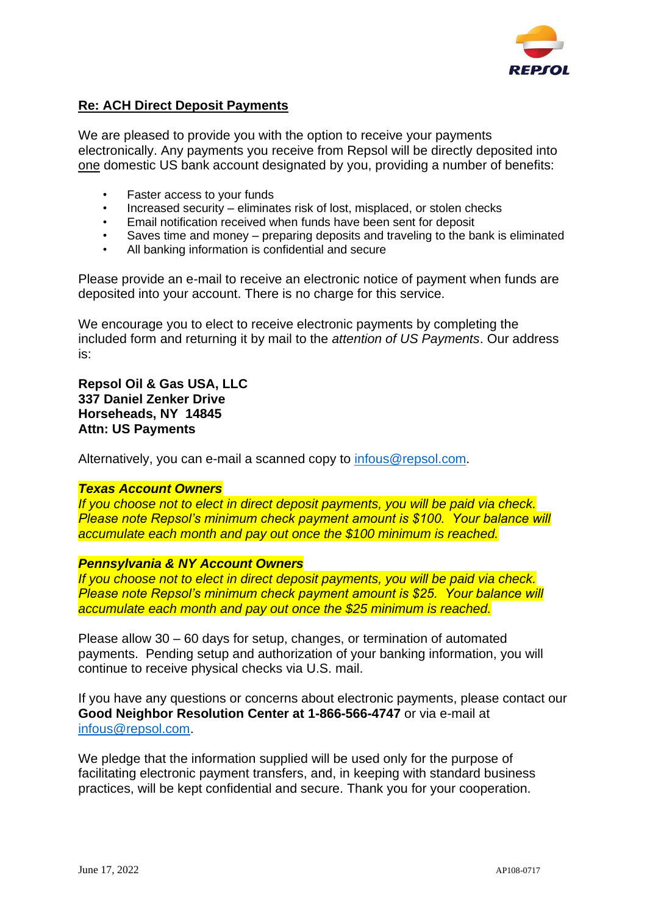

## **Re: ACH Direct Deposit Payments**

We are pleased to provide you with the option to receive your payments electronically. Any payments you receive from Repsol will be directly deposited into one domestic US bank account designated by you, providing a number of benefits:

- *•* Faster access to your funds
- *•* Increased security eliminates risk of lost, misplaced, or stolen checks
- *•* Email notification received when funds have been sent for deposit
- *•* Saves time and money preparing deposits and traveling to the bank is eliminated
- *•* All banking information is confidential and secure

Please provide an e-mail to receive an electronic notice of payment when funds are deposited into your account. There is no charge for this service.

We encourage you to elect to receive electronic payments by completing the included form and returning it by mail to the *attention of US Payments*. Our address is:

**Repsol Oil & Gas USA, LLC 337 Daniel Zenker Drive Horseheads, NY 14845 Attn: US Payments**

Alternatively, you can e-mail a scanned copy to [infous@repsol.com.](mailto:infous@repsol.com)

## *Texas Account Owners*

*If you choose not to elect in direct deposit payments, you will be paid via check. Please note Repsol's minimum check payment amount is \$100. Your balance will accumulate each month and pay out once the \$100 minimum is reached.* 

## *Pennsylvania & NY Account Owners*

*If you choose not to elect in direct deposit payments, you will be paid via check. Please note Repsol's minimum check payment amount is \$25. Your balance will accumulate each month and pay out once the \$25 minimum is reached.* 

Please allow 30 – 60 days for setup, changes, or termination of automated payments. Pending setup and authorization of your banking information, you will continue to receive physical checks via U.S. mail.

If you have any questions or concerns about electronic payments, please contact our **Good Neighbor Resolution Center at 1-866-566-4747** or via e-mail at [infous@repsol.com.](mailto:infous@repsol.com)

We pledge that the information supplied will be used only for the purpose of facilitating electronic payment transfers, and, in keeping with standard business practices, will be kept confidential and secure. Thank you for your cooperation.